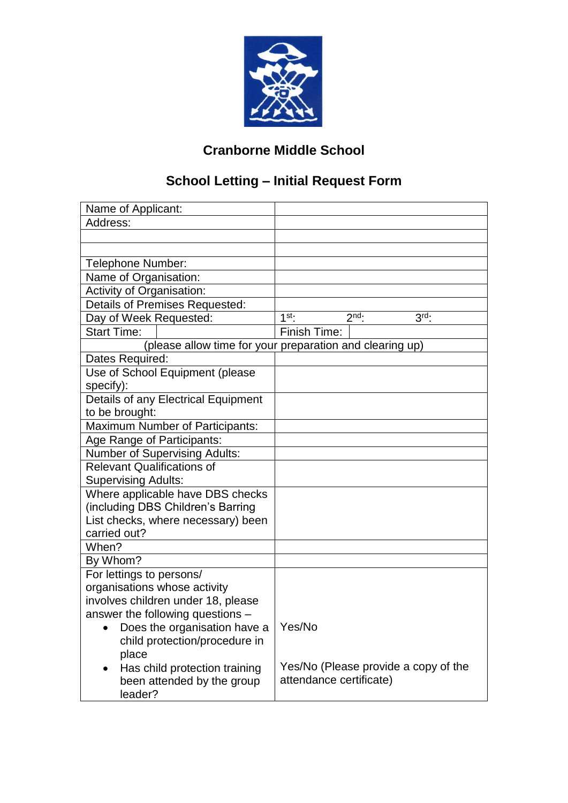

## **Cranborne Middle School**

# **School Letting – Initial Request Form**

| Name of Applicant:                                       |                                         |  |  |  |
|----------------------------------------------------------|-----------------------------------------|--|--|--|
| Address:                                                 |                                         |  |  |  |
|                                                          |                                         |  |  |  |
|                                                          |                                         |  |  |  |
| Telephone Number:                                        |                                         |  |  |  |
| Name of Organisation:                                    |                                         |  |  |  |
| Activity of Organisation:                                |                                         |  |  |  |
| <b>Details of Premises Requested:</b>                    |                                         |  |  |  |
| Day of Week Requested:                                   | $2nd$ .<br>$3rd$ :<br>$1$ <sup>st</sup> |  |  |  |
| <b>Start Time:</b>                                       | Finish Time:                            |  |  |  |
| (please allow time for your preparation and clearing up) |                                         |  |  |  |
| Dates Required:                                          |                                         |  |  |  |
| Use of School Equipment (please                          |                                         |  |  |  |
| specify):                                                |                                         |  |  |  |
| Details of any Electrical Equipment                      |                                         |  |  |  |
| to be brought:                                           |                                         |  |  |  |
| <b>Maximum Number of Participants:</b>                   |                                         |  |  |  |
| Age Range of Participants:                               |                                         |  |  |  |
| <b>Number of Supervising Adults:</b>                     |                                         |  |  |  |
| <b>Relevant Qualifications of</b>                        |                                         |  |  |  |
| <b>Supervising Adults:</b>                               |                                         |  |  |  |
| Where applicable have DBS checks                         |                                         |  |  |  |
| (including DBS Children's Barring                        |                                         |  |  |  |
| List checks, where necessary) been<br>carried out?       |                                         |  |  |  |
| When?                                                    |                                         |  |  |  |
|                                                          |                                         |  |  |  |
| By Whom?                                                 |                                         |  |  |  |
| For lettings to persons/<br>organisations whose activity |                                         |  |  |  |
| involves children under 18, please                       |                                         |  |  |  |
| answer the following questions -                         |                                         |  |  |  |
| Does the organisation have a                             | Yes/No                                  |  |  |  |
| child protection/procedure in                            |                                         |  |  |  |
| place                                                    |                                         |  |  |  |
| Has child protection training                            | Yes/No (Please provide a copy of the    |  |  |  |
| been attended by the group                               | attendance certificate)                 |  |  |  |
| leader?                                                  |                                         |  |  |  |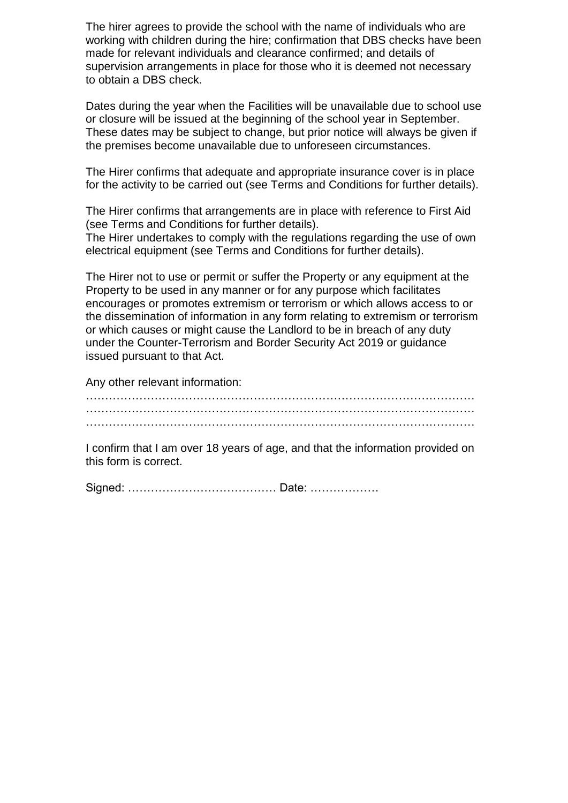The hirer agrees to provide the school with the name of individuals who are working with children during the hire; confirmation that DBS checks have been made for relevant individuals and clearance confirmed; and details of supervision arrangements in place for those who it is deemed not necessary to obtain a DBS check.

Dates during the year when the Facilities will be unavailable due to school use or closure will be issued at the beginning of the school year in September. These dates may be subject to change, but prior notice will always be given if the premises become unavailable due to unforeseen circumstances.

The Hirer confirms that adequate and appropriate insurance cover is in place for the activity to be carried out (see Terms and Conditions for further details).

The Hirer confirms that arrangements are in place with reference to First Aid (see Terms and Conditions for further details).

The Hirer undertakes to comply with the regulations regarding the use of own electrical equipment (see Terms and Conditions for further details).

The Hirer not to use or permit or suffer the Property or any equipment at the Property to be used in any manner or for any purpose which facilitates encourages or promotes extremism or terrorism or which allows access to or the dissemination of information in any form relating to extremism or terrorism or which causes or might cause the Landlord to be in breach of any duty under the Counter-Terrorism and Border Security Act 2019 or guidance issued pursuant to that Act.

Any other relevant information:

………………………………………………………………………………………… ………………………………………………………………………………………… …………………………………………………………………………………………

I confirm that I am over 18 years of age, and that the information provided on this form is correct.

Signed: ………………………………… Date: ………………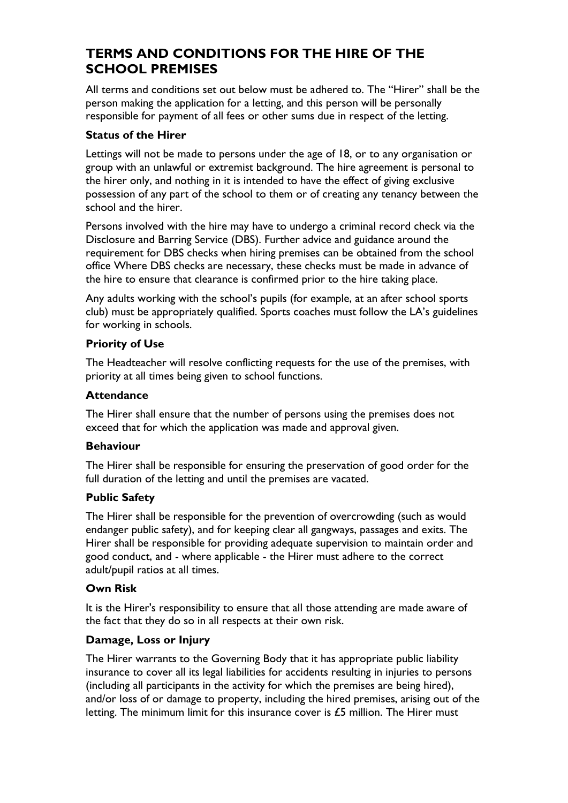## **TERMS AND CONDITIONS FOR THE HIRE OF THE SCHOOL PREMISES**

All terms and conditions set out below must be adhered to. The "Hirer" shall be the person making the application for a letting, and this person will be personally responsible for payment of all fees or other sums due in respect of the letting.

## **Status of the Hirer**

Lettings will not be made to persons under the age of 18, or to any organisation or group with an unlawful or extremist background. The hire agreement is personal to the hirer only, and nothing in it is intended to have the effect of giving exclusive possession of any part of the school to them or of creating any tenancy between the school and the hirer.

Persons involved with the hire may have to undergo a criminal record check via the Disclosure and Barring Service (DBS). Further advice and guidance around the requirement for DBS checks when hiring premises can be obtained from the school office Where DBS checks are necessary, these checks must be made in advance of the hire to ensure that clearance is confirmed prior to the hire taking place.

Any adults working with the school's pupils (for example, at an after school sports club) must be appropriately qualified. Sports coaches must follow the LA's guidelines for working in schools.

## **Priority of Use**

The Headteacher will resolve conflicting requests for the use of the premises, with priority at all times being given to school functions.

## **Attendance**

The Hirer shall ensure that the number of persons using the premises does not exceed that for which the application was made and approval given.

#### **Behaviour**

The Hirer shall be responsible for ensuring the preservation of good order for the full duration of the letting and until the premises are vacated.

#### **Public Safety**

The Hirer shall be responsible for the prevention of overcrowding (such as would endanger public safety), and for keeping clear all gangways, passages and exits. The Hirer shall be responsible for providing adequate supervision to maintain order and good conduct, and - where applicable - the Hirer must adhere to the correct adult/pupil ratios at all times.

#### **Own Risk**

It is the Hirer's responsibility to ensure that all those attending are made aware of the fact that they do so in all respects at their own risk.

## **Damage, Loss or Injury**

The Hirer warrants to the Governing Body that it has appropriate public liability insurance to cover all its legal liabilities for accidents resulting in injuries to persons (including all participants in the activity for which the premises are being hired), and/or loss of or damage to property, including the hired premises, arising out of the letting. The minimum limit for this insurance cover is £5 million. The Hirer must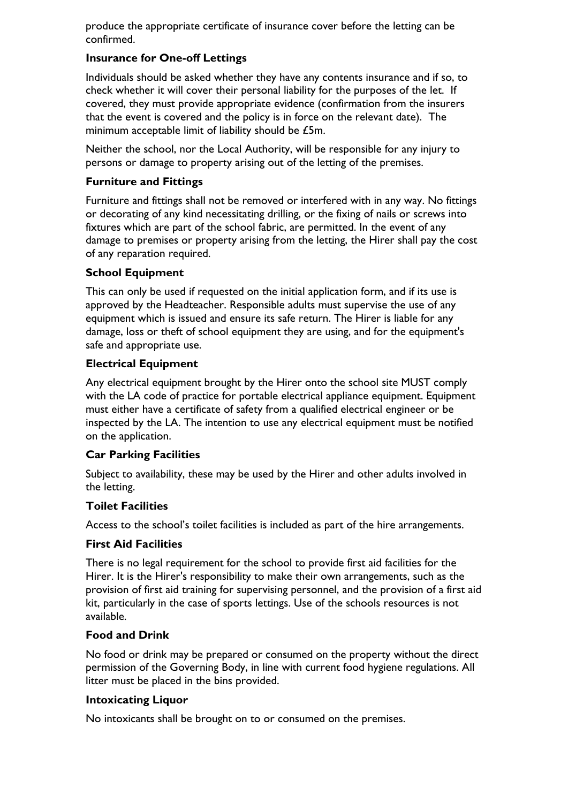produce the appropriate certificate of insurance cover before the letting can be confirmed.

## **Insurance for One-off Lettings**

Individuals should be asked whether they have any contents insurance and if so, to check whether it will cover their personal liability for the purposes of the let. If covered, they must provide appropriate evidence (confirmation from the insurers that the event is covered and the policy is in force on the relevant date). The minimum acceptable limit of liability should be £5m.

Neither the school, nor the Local Authority, will be responsible for any injury to persons or damage to property arising out of the letting of the premises.

#### **Furniture and Fittings**

Furniture and fittings shall not be removed or interfered with in any way. No fittings or decorating of any kind necessitating drilling, or the fixing of nails or screws into fixtures which are part of the school fabric, are permitted. In the event of any damage to premises or property arising from the letting, the Hirer shall pay the cost of any reparation required.

## **School Equipment**

This can only be used if requested on the initial application form, and if its use is approved by the Headteacher. Responsible adults must supervise the use of any equipment which is issued and ensure its safe return. The Hirer is liable for any damage, loss or theft of school equipment they are using, and for the equipment's safe and appropriate use.

#### **Electrical Equipment**

Any electrical equipment brought by the Hirer onto the school site MUST comply with the LA code of practice for portable electrical appliance equipment. Equipment must either have a certificate of safety from a qualified electrical engineer or be inspected by the LA. The intention to use any electrical equipment must be notified on the application.

#### **Car Parking Facilities**

Subject to availability, these may be used by the Hirer and other adults involved in the letting.

#### **Toilet Facilities**

Access to the school's toilet facilities is included as part of the hire arrangements.

#### **First Aid Facilities**

There is no legal requirement for the school to provide first aid facilities for the Hirer. It is the Hirer's responsibility to make their own arrangements, such as the provision of first aid training for supervising personnel, and the provision of a first aid kit, particularly in the case of sports lettings. Use of the schools resources is not available.

#### **Food and Drink**

No food or drink may be prepared or consumed on the property without the direct permission of the Governing Body, in line with current food hygiene regulations. All litter must be placed in the bins provided.

#### **Intoxicating Liquor**

No intoxicants shall be brought on to or consumed on the premises.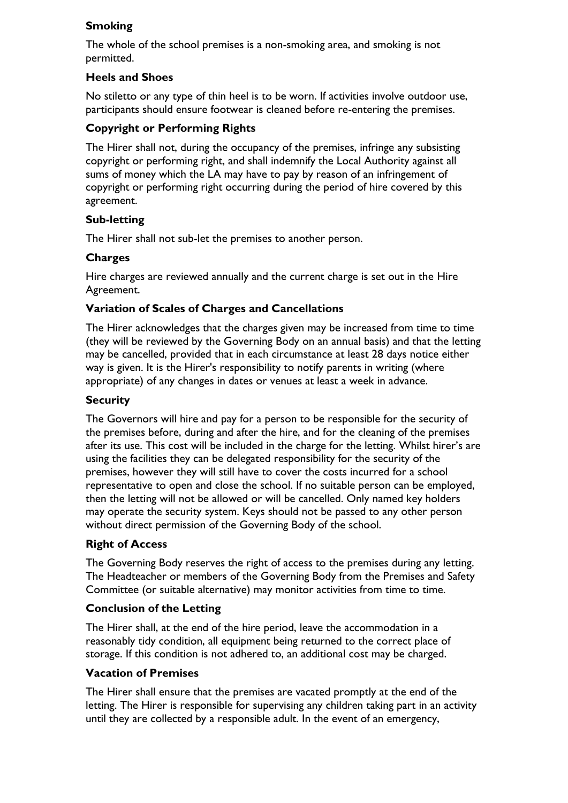## **Smoking**

The whole of the school premises is a non-smoking area, and smoking is not permitted.

## **Heels and Shoes**

No stiletto or any type of thin heel is to be worn. If activities involve outdoor use, participants should ensure footwear is cleaned before re-entering the premises.

## **Copyright or Performing Rights**

The Hirer shall not, during the occupancy of the premises, infringe any subsisting copyright or performing right, and shall indemnify the Local Authority against all sums of money which the LA may have to pay by reason of an infringement of copyright or performing right occurring during the period of hire covered by this agreement.

## **Sub-letting**

The Hirer shall not sub-let the premises to another person.

## **Charges**

Hire charges are reviewed annually and the current charge is set out in the Hire Agreement.

## **Variation of Scales of Charges and Cancellations**

The Hirer acknowledges that the charges given may be increased from time to time (they will be reviewed by the Governing Body on an annual basis) and that the letting may be cancelled, provided that in each circumstance at least 28 days notice either way is given. It is the Hirer's responsibility to notify parents in writing (where appropriate) of any changes in dates or venues at least a week in advance.

#### **Security**

The Governors will hire and pay for a person to be responsible for the security of the premises before, during and after the hire, and for the cleaning of the premises after its use. This cost will be included in the charge for the letting. Whilst hirer's are using the facilities they can be delegated responsibility for the security of the premises, however they will still have to cover the costs incurred for a school representative to open and close the school. If no suitable person can be employed, then the letting will not be allowed or will be cancelled. Only named key holders may operate the security system. Keys should not be passed to any other person without direct permission of the Governing Body of the school.

## **Right of Access**

The Governing Body reserves the right of access to the premises during any letting. The Headteacher or members of the Governing Body from the Premises and Safety Committee (or suitable alternative) may monitor activities from time to time.

#### **Conclusion of the Letting**

The Hirer shall, at the end of the hire period, leave the accommodation in a reasonably tidy condition, all equipment being returned to the correct place of storage. If this condition is not adhered to, an additional cost may be charged.

#### **Vacation of Premises**

The Hirer shall ensure that the premises are vacated promptly at the end of the letting. The Hirer is responsible for supervising any children taking part in an activity until they are collected by a responsible adult. In the event of an emergency,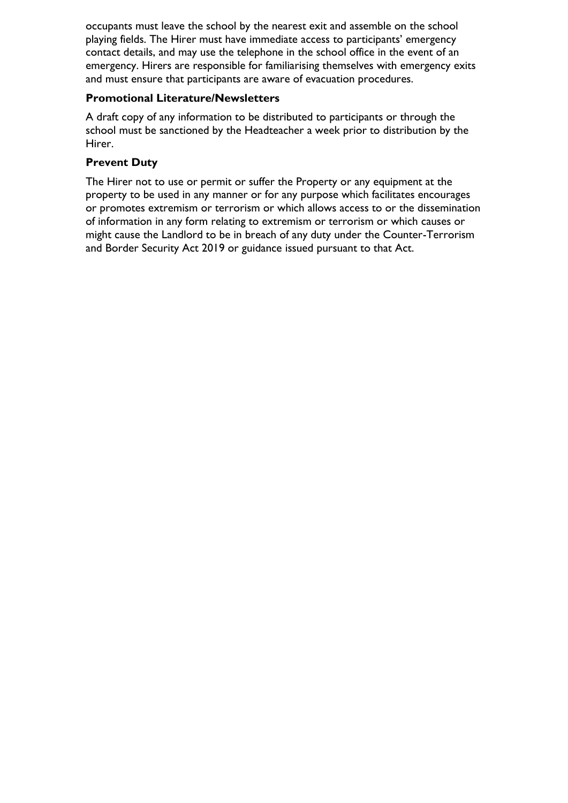occupants must leave the school by the nearest exit and assemble on the school playing fields. The Hirer must have immediate access to participants' emergency contact details, and may use the telephone in the school office in the event of an emergency. Hirers are responsible for familiarising themselves with emergency exits and must ensure that participants are aware of evacuation procedures.

#### **Promotional Literature/Newsletters**

A draft copy of any information to be distributed to participants or through the school must be sanctioned by the Headteacher a week prior to distribution by the Hirer.

#### **Prevent Duty**

The Hirer not to use or permit or suffer the Property or any equipment at the property to be used in any manner or for any purpose which facilitates encourages or promotes extremism or terrorism or which allows access to or the dissemination of information in any form relating to extremism or terrorism or which causes or might cause the Landlord to be in breach of any duty under the Counter-Terrorism and Border Security Act 2019 or guidance issued pursuant to that Act.